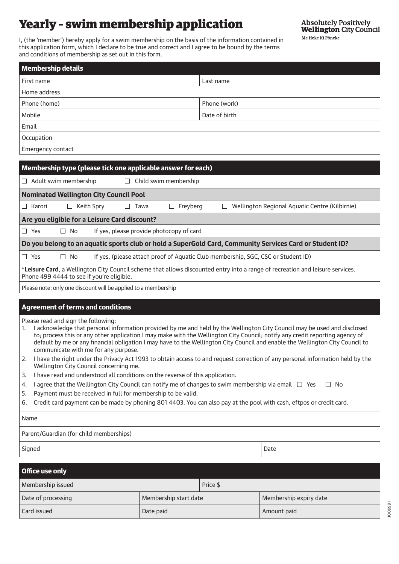# Yearly – swim membership application

**Absolutely Positively Wellington City Council** Me Heke Ki Põneke

I, (the 'member') hereby apply for a swim membership on the basis of the information contained in this application form, which I declare to be true and correct and I agree to be bound by the terms and conditions of membership as set out in this form.

| <b>Membership details</b> |               |  |  |
|---------------------------|---------------|--|--|
| First name                | Last name     |  |  |
| Home address              |               |  |  |
| Phone (home)              | Phone (work)  |  |  |
| Mobile                    | Date of birth |  |  |
| Email                     |               |  |  |
| Occupation                |               |  |  |
| Emergency contact         |               |  |  |

| Membership type (please tick one applicable answer for each)                                                                                                               |  |  |  |  |  |
|----------------------------------------------------------------------------------------------------------------------------------------------------------------------------|--|--|--|--|--|
| Adult swim membership<br>Child swim membership<br>Ш<br>$\Box$                                                                                                              |  |  |  |  |  |
| <b>Nominated Wellington City Council Pool</b>                                                                                                                              |  |  |  |  |  |
| Karori<br>Keith Spry<br>Wellington Regional Aquatic Centre (Kilbirnie)<br>Freyberg<br>Tawa<br>ш<br>$\Box$                                                                  |  |  |  |  |  |
| Are you eligible for a Leisure Card discount?                                                                                                                              |  |  |  |  |  |
| If yes, please provide photocopy of card<br>$\Box$ Yes<br>No<br>$\Box$                                                                                                     |  |  |  |  |  |
| Do you belong to an aquatic sports club or hold a SuperGold Card, Community Services Card or Student ID?                                                                   |  |  |  |  |  |
| If yes, (please attach proof of Aquatic Club membership, SGC, CSC or Student ID)<br>$\Box$ Yes<br>No<br>$\Box$                                                             |  |  |  |  |  |
| *Leisure Card, a Wellington City Council scheme that allows discounted entry into a range of recreation and leisure services.<br>Phone 499 4444 to see if you're eligible. |  |  |  |  |  |
| Please note: only one discount will be applied to a membership                                                                                                             |  |  |  |  |  |

# Agreement of terms and conditions

Please read and sign the following:

- 1. I acknowledge that personal information provided by me and held by the Wellington City Council may be used and disclosed to; process this or any other application I may make with the Wellington City Council; notify any credit reporting agency of default by me or any financial obligation I may have to the Wellington City Council and enable the Wellington City Council to communicate with me for any purpose.
- 2. I have the right under the Privacy Act 1993 to obtain access to and request correction of any personal information held by the Wellington City Council concerning me.
- 3. I have read and understood all conditions on the reverse of this application.
- 4. I agree that the Wellington City Council can notify me of changes to swim membership via email  $\Box$  Yes  $\Box$  No
- 5. Payment must be received in full for membership to be valid.
- 6. Credit card payment can be made by phoning 801 4403. You can also pay at the pool with cash, eftpos or credit card.

Name

Parent/Guardian (for child memberships)

Signed Date **Date of the United States of the United States of the United States of Date** 

| Office use only    |                       |          |                        |  |
|--------------------|-----------------------|----------|------------------------|--|
| Membership issued  |                       | Price \$ |                        |  |
| Date of processing | Membership start date |          | Membership expiry date |  |
| Card issued        | Date paid             |          | Amount paid            |  |